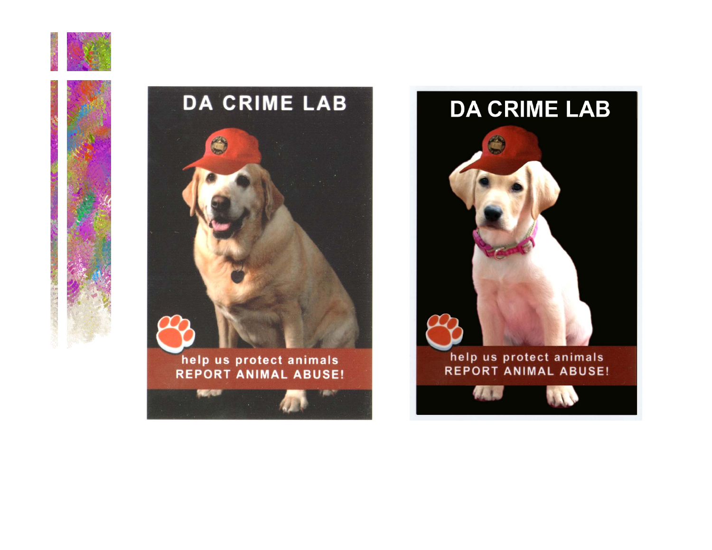





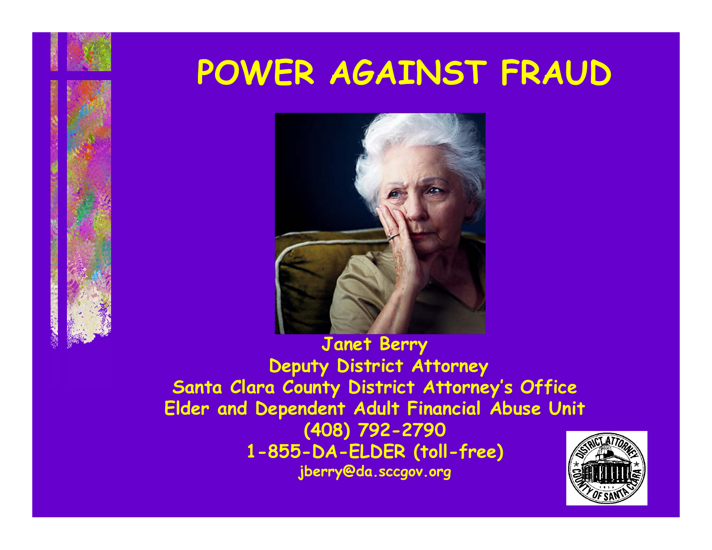### **POWER AGAINST FRAUD**



**Janet Berry Deputy District Attorney Santa Clara County District Attorney's Office Elder and Dependent Adult Financial Abuse Unit (408) 792-2790 1-855-DA-ELDER (toll-free) jberry@da.sccgov.org**

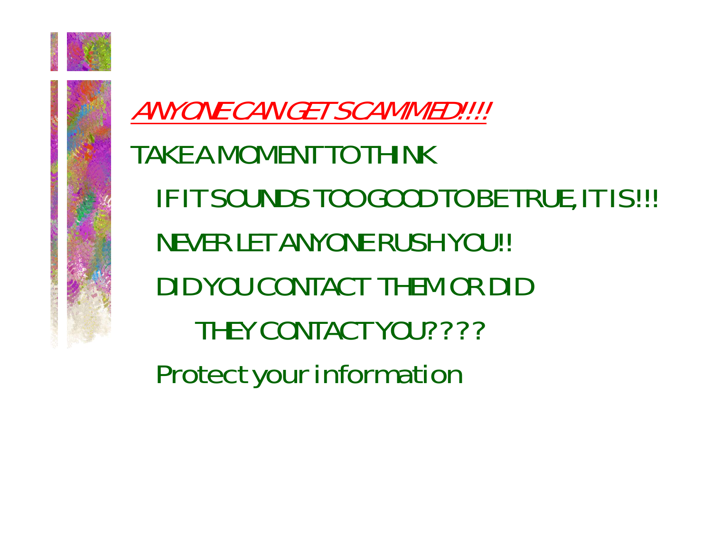

### ANYONE CAN GET SCAMMED!!!! TAKE A MOMENT TO THINKIF IT SOUNDS TOO GOOD TO BE TRUE, IT IS!!! NEVER LET ANYONE RUSH YOU!! DID YOU CONTACT THEM OR DID THEY CONTACT YOU???? Protect your information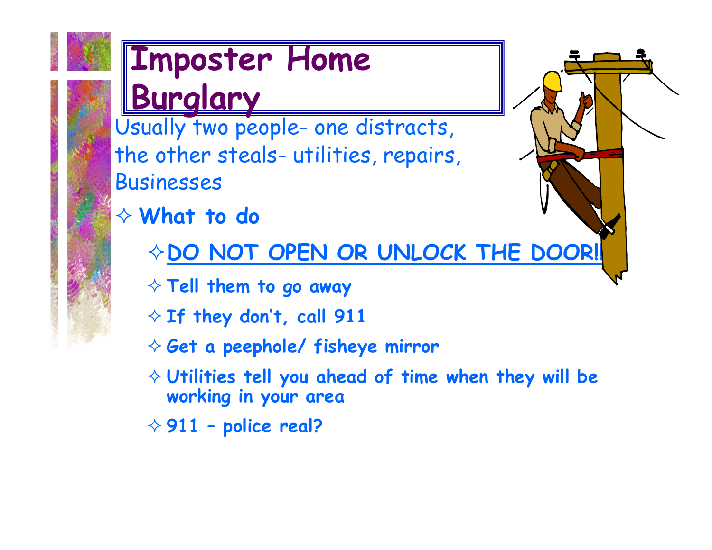

# **Imposter Home**

**Burglary**<br>Usually two people- one distracts, the other steals- utilities, repairs, Businesses

- **What to do**
	- **EDO NOT OPEN OR UNLOCK THE DOOR!!**
	- **Tell them to go away**
	- **If they don't, call 911**
	- **Get a peephole/ fisheye mirror**
	- **Utilities tell you ahead of time when they will be working in your area**

**911 – police real?**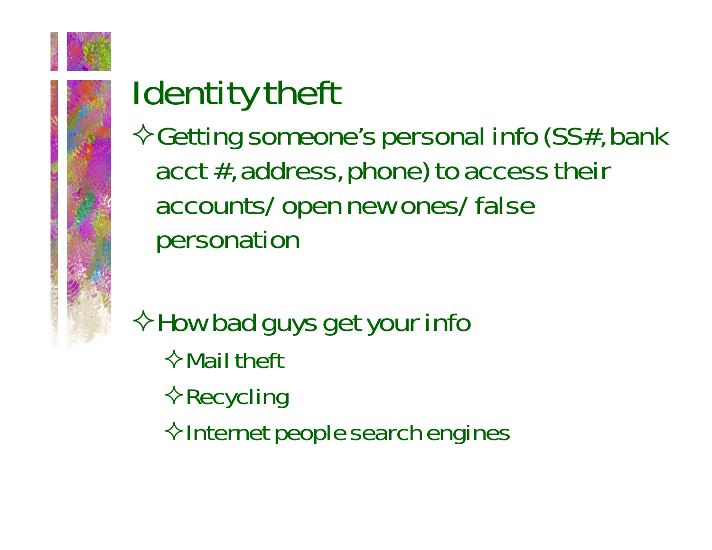

### Identity theft

 $\diamondsuit$  Getting someone's personal info (SS#, bank acct #, address, phone) to access their accounts/ open new ones/ false personation

 $\Diamond$  How bad guys get your info  $\Diamond$  Mail theft  $\diamond$ Recycling  $\Diamond$ Internet people search engines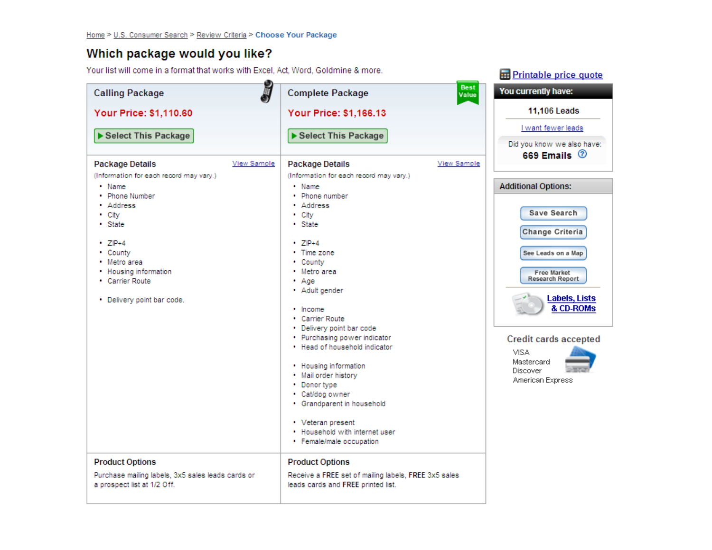#### Which package would you like?

Your list will come in a format that works with Excel, Act, Word, Goldmine & more.

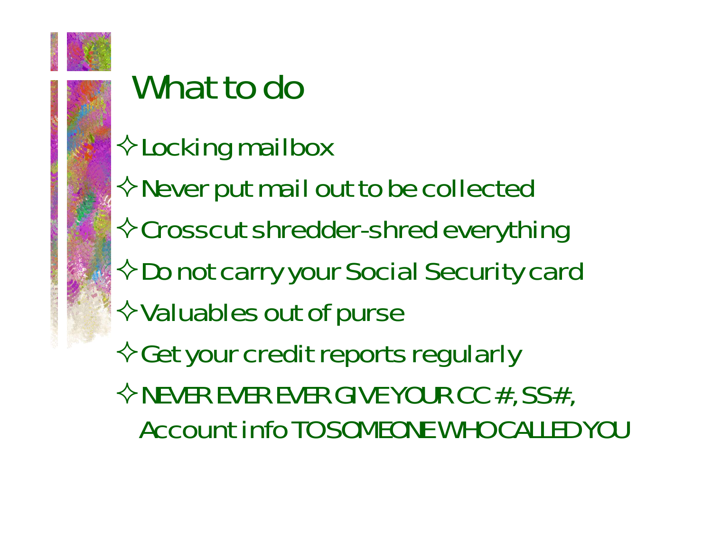

### What to do

- $\diamond$  Locking mailbox
- $\Leftrightarrow$  Never put mail out to be collected
- Crosscut shredder-shred everything
- $\Diamond$  Do not carry your Social Security card
- $\diamond$  Valuables out of purse

 $\Diamond$  Get your credit reports regularly  $\Diamond$ NEVER EVER EVER GIVE YOUR CC #, SS#, Account info TO SOMEONE WHO CALLED YOU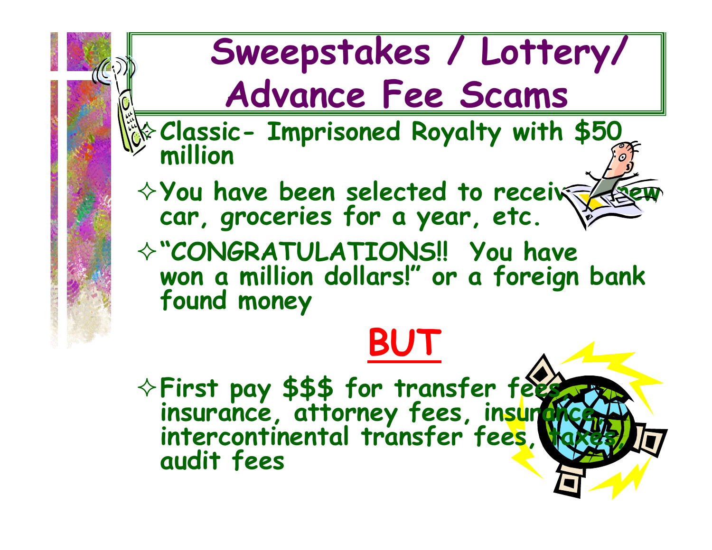

**First pay \$\$\$ for transfer fees, insurance, attorney fees, insurance, intercontinental transfer fees, taxes, audit fees**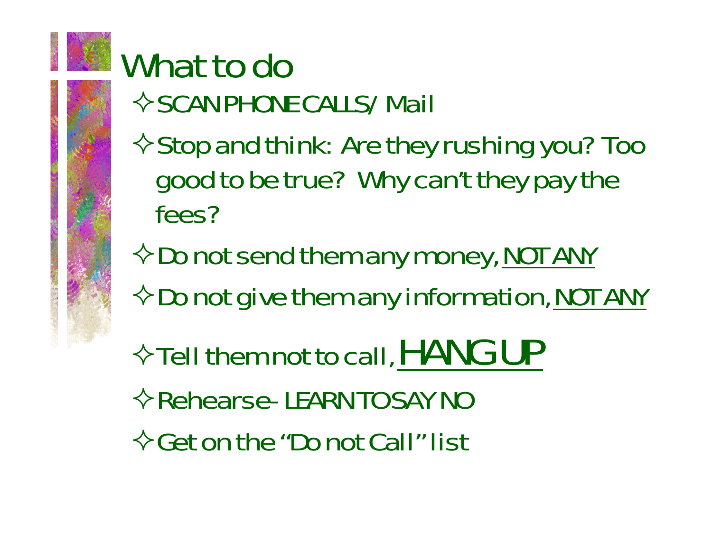

## What to do

- $\Diamond$  SCAN PHONE CALLS/ Mail
- $\Leftrightarrow$  Stop and think: Are they rushing you? Too good to be true? Why can't they pay the fees?
- $\Diamond$  Do not send them any money, NOT ANY
- $\Diamond$  Do not give them any information, NOT ANY
- $\Diamond$  Tell them not to call, HANG UP
- $\Leftrightarrow$  Rehearse- LEARN TO SAY NO
- $\Diamond$  Get on the "Do not Call" list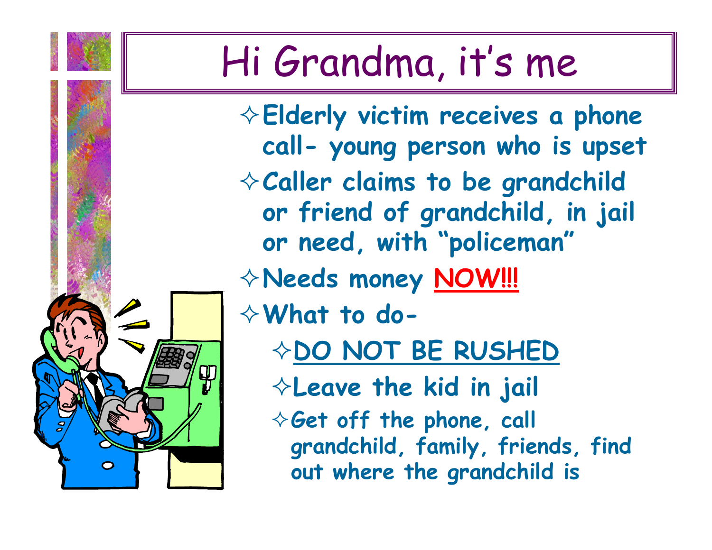### Hi Grandma, it's me

**Elderly victim receives a phone call- young person who is upset Caller claims to be grandchild or friend of grandchild, in jail or need, with "policeman" Needs money NOW!!! What to do- DO NOT BE RUSHED Leave the kid in jail Get off the phone, call grandchild, family, friends, find out where the grandchild is**

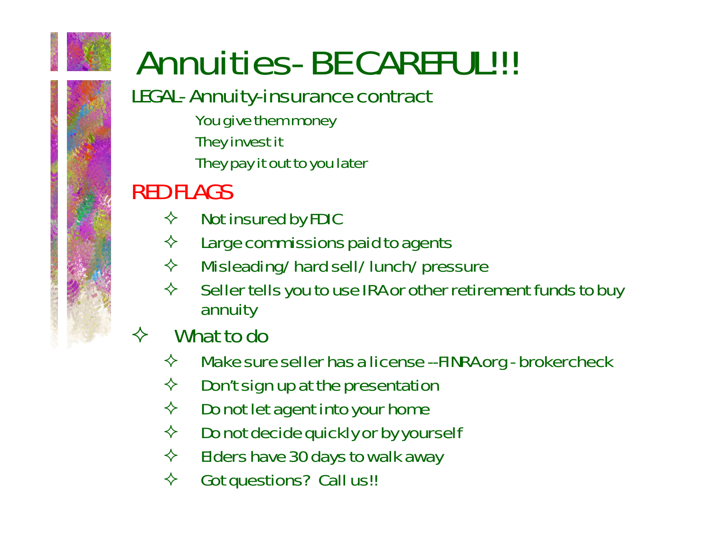

## Annuities- BE CAREFUL!!!

### LEGAL- Annuity-insurance contract

You give them money They invest it

They pay it out to you later

### RED FLAGS

- $\Leftrightarrow$ Not insured by FDIC
- $\Leftrightarrow$ Large commissions paid to agents
- $\Leftrightarrow$ Misleading/ hard sell/ lunch/ pressure
- $\Leftrightarrow$  Seller tells you to use IRA or other retirement funds to buy annuity

#### $\diamondsuit$ What to do

- $\Leftrightarrow$ Make sure seller has a license --FINRA.org - brokercheck
- $\Leftrightarrow$ Don't sign up at the presentation
- $\Leftrightarrow$ Do not let agent into your home
- $\Leftrightarrow$ Do not decide quickly or by yourself
- $\Leftrightarrow$ Elders have 30 days to walk away
- $\Leftrightarrow$ Got questions? Call us!!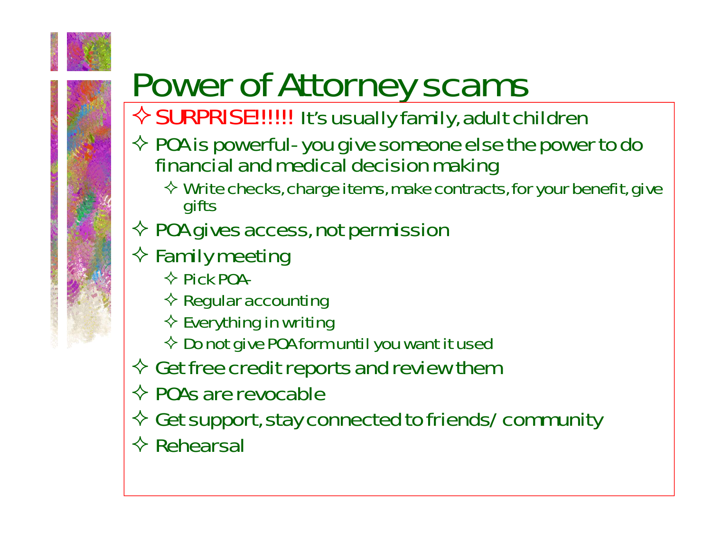

## Power of Attorney scams

### $\diamondsuit$  SURPRISE!!!!!! It's usually family, adult children

- $\Diamond$  POA is powerful- you give someone else the power to do financial and medical decision making
	- $\diamondsuit$  Write checks, charge items, make contracts, for your benefit, give gifts
- $\diamondsuit$  POA gives access, not permission
- $\diamond$  Family meeting
	- $\diamond$  Pick POA-
	- $\Leftrightarrow$  Regular accounting
	- $\diamondsuit$  Everything in writing
	- $\ \diamondsuit\ {\sf Do}$  not give POA form until you want it used
- $\Diamond$  Get free credit reports and review then
- $\diamondsuit$  POAs are revocable
- $\diamondsuit$  Get support, stay connected to friends/ community
- $\Leftrightarrow$  Rehearsal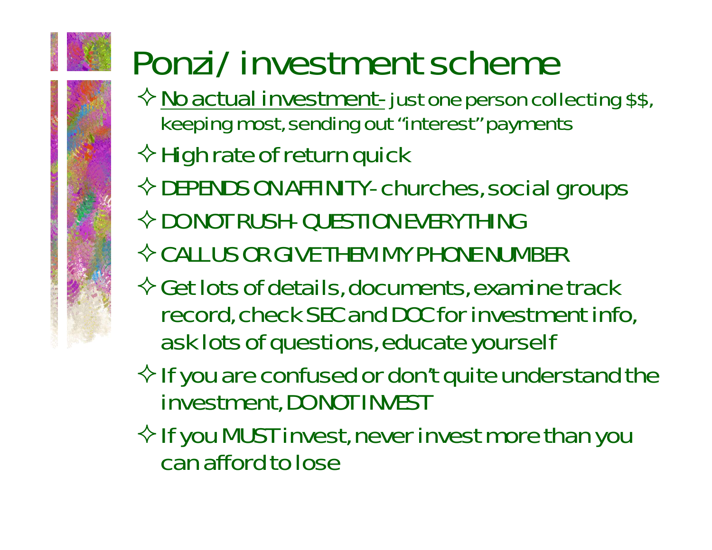## Ponzi/ investment scheme

- $\diamondsuit$  <u>No actual investment-</u> just one person collecting \$\$, keeping most, sending out "interest" payments
- $\Leftrightarrow$  High rate of return quick
- $\Diamond$  DEPENDS ON AFFINITY- churches, social groups
- $\Diamond$  DO NOT RUSH- QUESTION EVERYTHING
- $\Diamond$  CALL US OR GIVE THEM MY PHONE NUMBER
- $\Diamond$  Get lots of details, documents, examine track record, check SEC and DOC for investment info, ask lots of questions, educate yourself
- $\Diamond$  If you are confused or don't quite understand the investment, DO NOT INVEST
- $\Diamond$  If you MUST invest, never invest more than you can afford to lose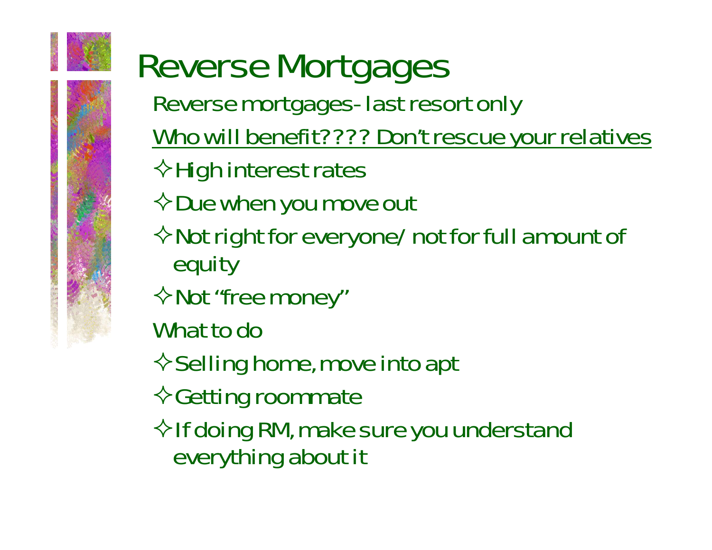

### Reverse Mortgages Reverse mortgages- last resort only Who will benefit???? Don't rescue your relatives  $\Diamond$ High interest rates  $\diamondsuit$  Due when you move out  $\Diamond$  Not right for everyone/ not for full amount of equity  $\diamond$  Not "free money" What to do $\diamond$  Selling home, move into apt  $\diamond$  Getting roommate  $\Diamond$  If doing RM, make sure you understand

everything about it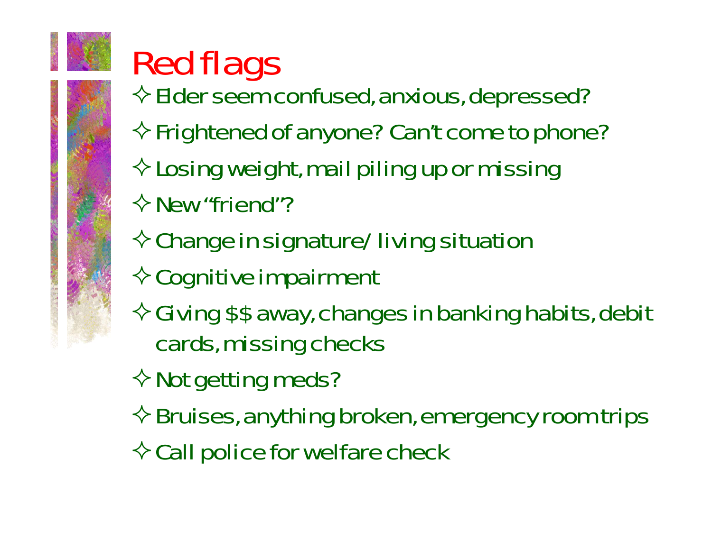

## Red flags

- $\Leftrightarrow$  Elder seem confused, anxious, depressed?
- $\Leftrightarrow$  Frightened of anyone? Can't come to phone?
- $\diamond$  Losing weight, mail piling up or missing
- $\Diamond$  New "friend"?
- $\diamondsuit$  Change in signature/ living situation
- $\diamond$  Cognitive impairment
- $\Diamond$  Giving \$\$ away, changes in banking habits, debit cards, missing checks

 $\diamond$  Not getting meds?

- $\diamondsuit$  Bruises, anything broken, emergency room trips
- $\Diamond$  Call police for welfare check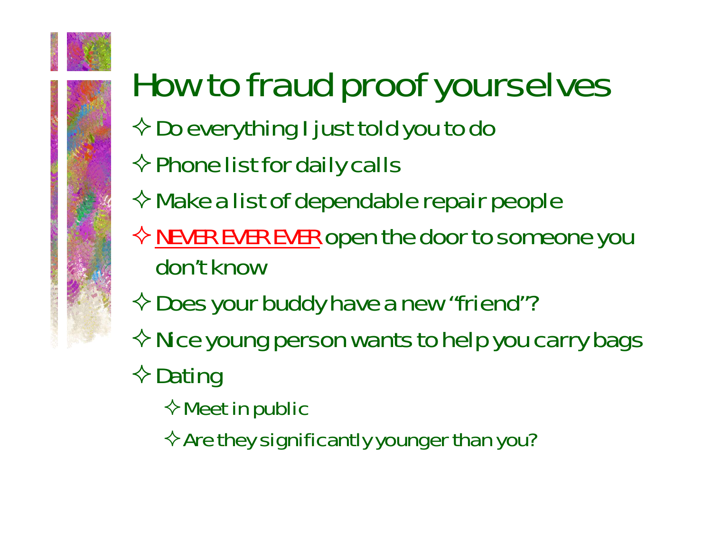

## How to fraud proof yourselves

- $\Diamond$  Do everything I just told you to do
- $\Leftrightarrow$  Phone list for daily calls
- $\Leftrightarrow$  Make a list of dependable repair people
- $\diamondsuit$  <u>NEVER EVER EVER</u> open the door to someone you don't know
- $\Diamond$  Does your buddy have a new "friend"?
- $\Diamond$  Nice young person wants to help you carry bags
- $\diamond$  Dating
	- $\Leftrightarrow$  Meet in public
	- $\Leftrightarrow$  Are they significantly younger than you?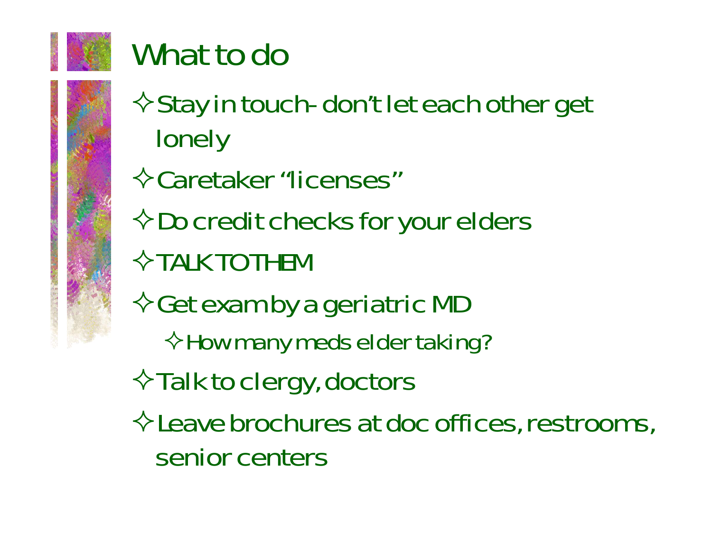

### What to do

- $\diamond$  Stay in touch- don't let each other get lonely
- Caretaker "licenses"
- $\Diamond$  Do credit checks for your elders
- $\Diamond$  TALK TO THEM
- $\diamondsuit$  Get exam by a geriatric MD
	- $\Diamond$  How many meds elder taking?
- $\Diamond$  Talk to clergy, doctors
- $\Diamond$  Leave brochures at doc offices, restrooms, senior centers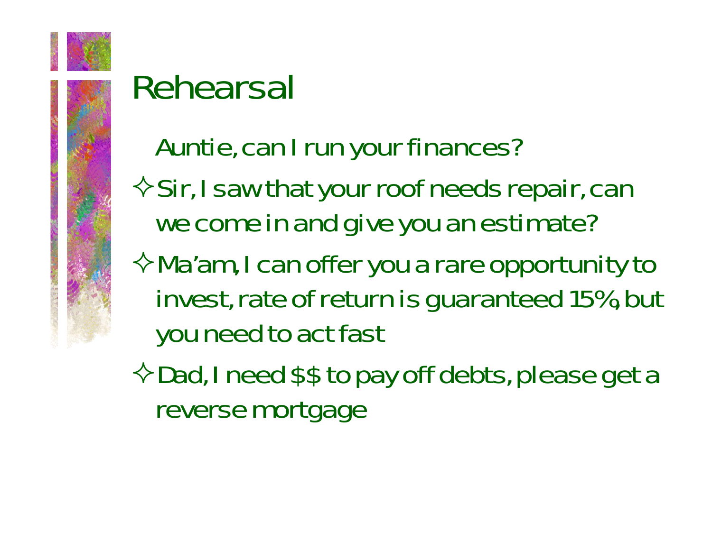

### Rehearsal

### Auntie, can I run your finances?

 $\Diamond$  Sir, I saw that your roof needs repair, can we come in and give you an estimate?

 $\Diamond$  Ma'am, I can offer you a rare opportunity to invest, rate of return is guaranteed 15%, but you need to act fast

 $\Diamond$  Dad, I need \$\$ to pay off debts, please get a reverse mortgage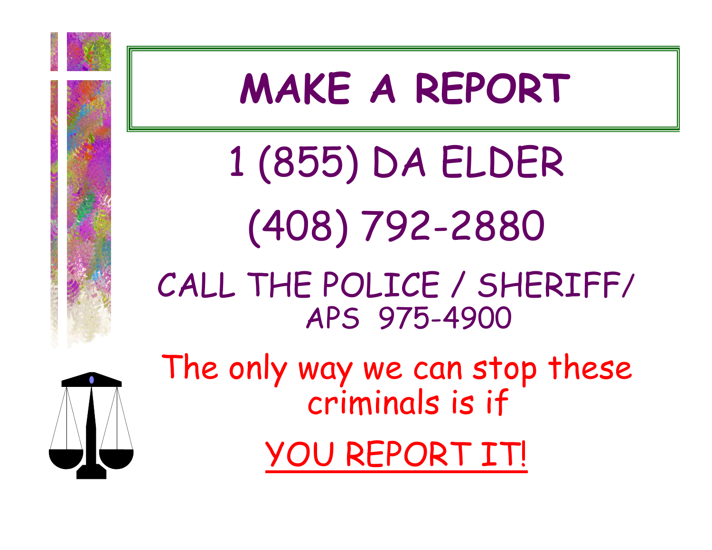